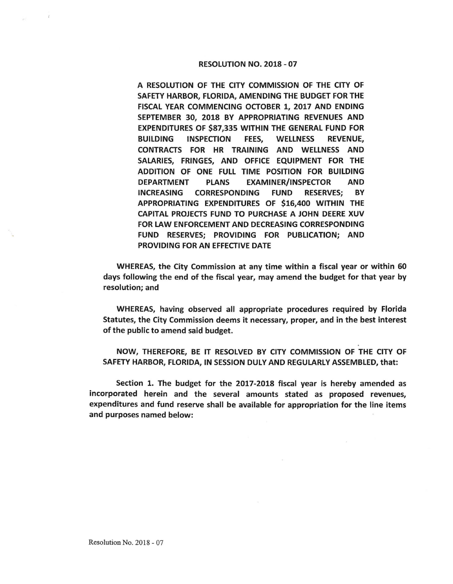## RESOLUTION NO. 2018 - 07

A RESOLUTION OF THE CITY COMMISSION OF THE CITY OF SAFETY HARBOR, FLORIDA, AMENDING THE BUDGET FOR THE FISCAL YEAR COMMENCING OCTOBER 1, 2017 AND ENDING SEPTEMBER 30, 2018 BY APPROPRIATING REVENUES AND EXPENDITURES OF \$87,335 WITHIN THE GENERAL FUND FOR BUILDING INSPECTION FEES, WELLNESS REVENUE, CONTRACTS FOR HR TRAINING AND WELLNESS AND SALARIES, FRINGES, AND OFFICE EQUIPMENT FOR THE ADDITION OF ONE FULL TIME POSITION FOR BUILDING DEPARTMENT PLANS EXAMINER/INSPECTOR AND INCREASING CORRESPONDING FUND RESERVES; BY **APPROPRIATING EXPENDITURES** OF \$16,400 **WITHIN** THE **CAPITAL PROJECTS FUND** TO **PURCHASE A JOHN DEERE XUV**  FOR LAW ENFORCEMENT AND DECREASING **CORRESPONDING**  FUND RESERVES; **PROVIDING** FOR **PUBLICATION; AND PROVIDING** FOR AN EFFECTIVE DATE

WHEREAS, the City Commission at any time within a fiscal year or within 60 days following the end of the fiscal year, may amend the budget for that year by resolution; and

WHEREAS, having observed all appropriate procedures required by Florida Statutes, the City Commission deems it necessary, proper, and in the best interest of the public to amend said budget.

**NOW,** THEREFORE, BE IT RESOLVED BY CITY **COMMISSION OF** THE CITY OF SAFETY HARBOR, FLORIDA, IN SESSION DULY AND REGULARLY ASSEMBLED, that:

Section 1. The budget for the 2017-2018 fiscal year is hereby amended as incorporated herein and the several amounts stated as proposed revenues, expenditures and fund reserve shall be available for appropriation for the line items and purposes named below: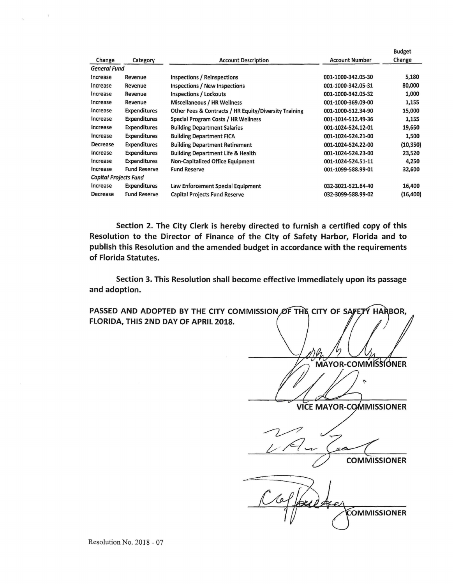|                              |                     |                                                       |                       | <b>Budget</b> |
|------------------------------|---------------------|-------------------------------------------------------|-----------------------|---------------|
| Change                       | Category            | <b>Account Description</b>                            | <b>Account Number</b> | Change        |
| <b>General Fund</b>          |                     |                                                       |                       |               |
| Increase                     | Revenue             | Inspections / Reinspections                           | 001-1000-342.05-30    | 5,180         |
| Increase                     | Revenue             | Inspections / New Inspections                         | 001-1000-342.05-31    | 80,000        |
| Increase                     | Revenue             | Inspections / Lockouts                                | 001-1000-342.05-32    | 1,000         |
| Increase                     | Revenue             | Miscellaneous / HR Wellness                           | 001-1000-369.09-00    | 1,155         |
| Increase                     | <b>Expenditures</b> | Other Fees & Contracts / HR Equity/Diversity Training | 001-1000-512.34-90    | 15,000        |
| Increase                     | <b>Expenditures</b> | Special Program Costs / HR Wellness                   | 001-1014-512.49-36    | 1,155         |
| Increase                     | Expenditures        | <b>Building Department Salaries</b>                   | 001-1024-524.12-01    | 19,660        |
| Increase                     | Expenditures        | <b>Building Department FICA</b>                       | 001-1024-524.21-00    | 1,500         |
| Decrease                     | <b>Expenditures</b> | <b>Building Department Retirement</b>                 | 001-1024-524.22-00    | (10, 350)     |
| Increase                     | Expenditures        | <b>Building Department Life &amp; Health</b>          | 001-1024-524.23-00    | 23,520        |
| Increase                     | <b>Expenditures</b> | <b>Non-Capitalized Office Equipment</b>               | 001-1024-524.51-11    | 4,250         |
| Increase                     | <b>Fund Reserve</b> | <b>Fund Reserve</b>                                   | 001-1099-588.99-01    | 32,600        |
| <b>Capital Projects Fund</b> |                     |                                                       |                       |               |
| Increase                     | <b>Expenditures</b> | Law Enforcement Special Equipment                     | 032-3021-521.64-40    | 16,400        |
| Decrease                     | <b>Fund Reserve</b> | <b>Capital Projects Fund Reserve</b>                  | 032-3099-588.99-02    | (16, 400)     |

**Section 2. The City Clerk is hereby directed to furnish a certified copy of this Resolution to the Director of Finance of the City of Safety Harbor, Florida and to publish this Resolution and the amended budget in accordance with the requirements of Florida Statutes.** 

**Section 3. This Resolution shall become effective immediately upon its passage and adoption.** 

PASSED AND ADOPTED BY THE CITY COMMISSION OF THE CITY OF SAFETY HARBOR, **FLORIDA, THIS 2ND DAY OF APRIL 2018.** 

**MAYOR-COMMISSIONER**  $\mathcal{L}$ **VICE MAYOR-COMMISSIONER** 

**COMMISSIONER** 

**COMMISSIONER**